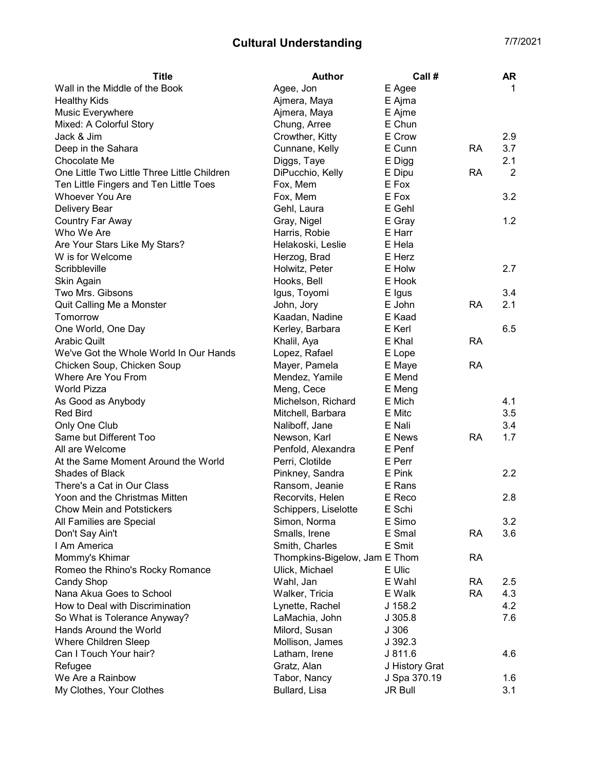## Cultural Understanding The Cultural Understanding

| <b>Title</b>                                | <b>Author</b>                 | Call #         |           | <b>AR</b>      |
|---------------------------------------------|-------------------------------|----------------|-----------|----------------|
| Wall in the Middle of the Book              | Agee, Jon                     | E Agee         |           | 1              |
| <b>Healthy Kids</b>                         | Ajmera, Maya                  | E Ajma         |           |                |
| Music Everywhere                            | Ajmera, Maya                  | E Ajme         |           |                |
| Mixed: A Colorful Story                     | Chung, Arree                  | E Chun         |           |                |
| Jack & Jim                                  | Crowther, Kitty               | E Crow         |           | 2.9            |
| Deep in the Sahara                          | Cunnane, Kelly                | E Cunn         | <b>RA</b> | 3.7            |
| Chocolate Me                                | Diggs, Taye                   | E Digg         |           | 2.1            |
| One Little Two Little Three Little Children | DiPucchio, Kelly              | E Dipu         | RA        | $\overline{2}$ |
| Ten Little Fingers and Ten Little Toes      | Fox, Mem                      | E Fox          |           |                |
| <b>Whoever You Are</b>                      | Fox, Mem                      | E Fox          |           | 3.2            |
| Delivery Bear                               | Gehl, Laura                   | E Gehl         |           |                |
| Country Far Away                            | Gray, Nigel                   | E Gray         |           | 1.2            |
| Who We Are                                  | Harris, Robie                 | E Harr         |           |                |
| Are Your Stars Like My Stars?               | Helakoski, Leslie             | E Hela         |           |                |
| W is for Welcome                            | Herzog, Brad                  | E Herz         |           |                |
| Scribbleville                               | Holwitz, Peter                | E Holw         |           | 2.7            |
| Skin Again                                  | Hooks, Bell                   | E Hook         |           |                |
| Two Mrs. Gibsons                            | Igus, Toyomi                  | E Igus         |           | 3.4            |
| Quit Calling Me a Monster                   | John, Jory                    | E John         | <b>RA</b> | 2.1            |
| Tomorrow                                    | Kaadan, Nadine                | E Kaad         |           |                |
| One World, One Day                          | Kerley, Barbara               | E Kerl         |           | 6.5            |
| <b>Arabic Quilt</b>                         | Khalil, Aya                   | E Khal         | <b>RA</b> |                |
| We've Got the Whole World In Our Hands      | Lopez, Rafael                 | E Lope         |           |                |
| Chicken Soup, Chicken Soup                  | Mayer, Pamela                 | E Maye         | <b>RA</b> |                |
| Where Are You From                          | Mendez, Yamile                | E Mend         |           |                |
| <b>World Pizza</b>                          | Meng, Cece                    | E Meng         |           |                |
| As Good as Anybody                          | Michelson, Richard            | E Mich         |           | 4.1            |
| <b>Red Bird</b>                             | Mitchell, Barbara             | E Mitc         |           | 3.5            |
| Only One Club                               | Naliboff, Jane                | E Nali         |           | 3.4            |
| Same but Different Too                      | Newson, Karl                  | E News         | RA        | 1.7            |
| All are Welcome                             | Penfold, Alexandra            | E Penf         |           |                |
| At the Same Moment Around the World         | Perri, Clotilde               | E Perr         |           |                |
| Shades of Black                             | Pinkney, Sandra               | E Pink         |           | 2.2            |
| There's a Cat in Our Class                  | Ransom, Jeanie                | E Rans         |           |                |
| Yoon and the Christmas Mitten               | Recorvits, Helen              | E Reco         |           | 2.8            |
| <b>Chow Mein and Potstickers</b>            | Schippers, Liselotte          | E Schi         |           |                |
| All Families are Special                    | Simon, Norma                  | E Simo         |           | 3.2            |
| Don't Say Ain't                             | Smalls, Irene                 | E Smal         | <b>RA</b> | 3.6            |
| I Am America                                | Smith, Charles                | E Smit         |           |                |
| Mommy's Khimar                              | Thompkins-Bigelow, Jam E Thom |                | <b>RA</b> |                |
| Romeo the Rhino's Rocky Romance             | Ulick, Michael                | E Ulic         |           |                |
| <b>Candy Shop</b>                           | Wahl, Jan                     | E Wahl         | <b>RA</b> | 2.5            |
| Nana Akua Goes to School                    | Walker, Tricia                | E Walk         | <b>RA</b> | 4.3            |
| How to Deal with Discrimination             | Lynette, Rachel               | J 158.2        |           | 4.2            |
| So What is Tolerance Anyway?                | LaMachia, John                | J 305.8        |           | 7.6            |
| Hands Around the World                      | Milord, Susan                 | J306           |           |                |
| <b>Where Children Sleep</b>                 | Mollison, James               | J 392.3        |           |                |
| Can I Touch Your hair?                      | Latham, Irene                 | J 811.6        |           | 4.6            |
| Refugee                                     | Gratz, Alan                   | J History Grat |           |                |
| We Are a Rainbow                            | Tabor, Nancy                  | J Spa 370.19   |           | 1.6            |
| My Clothes, Your Clothes                    | Bullard, Lisa                 | JR Bull        |           | 3.1            |